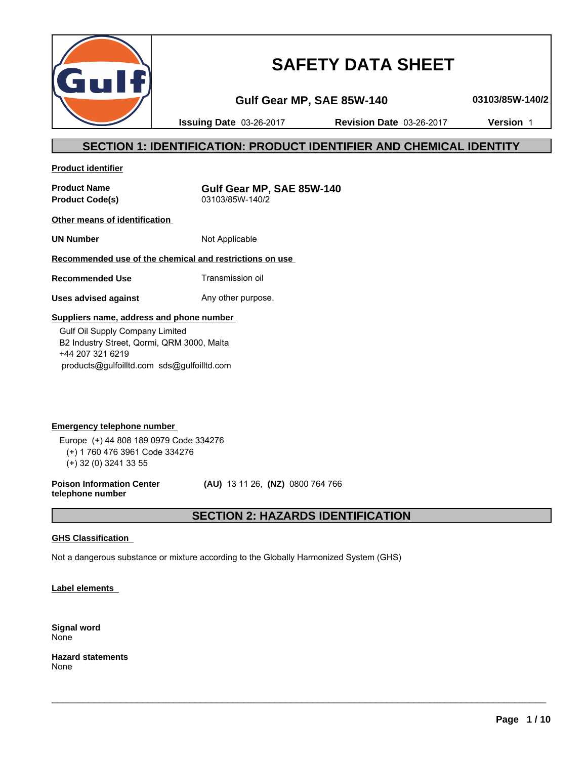

## **SAFETY DATA SHEET**

**Gulf Gear MP, SAE 85W-140 03103/85W-140/2**

**Issuing Date** 03-26-2017 **Revision Date** 03-26-2017 **Version** 1

## **SECTION 1: IDENTIFICATION: PRODUCT IDENTIFIER AND CHEMICAL IDENTITY**

**Product identifier**

**Product Code(s)** 03103/85W-140/2

**Product Name Gulf Gear MP, SAE 85W-140**

**Other means of identification** 

**UN Number** Not Applicable

**Recommended use of the chemical and restrictions on use** 

**Recommended Use** Transmission oil

**Uses advised against** Any other purpose.

#### **Suppliers name, address and phone number**

 Gulf Oil Supply Company Limited B2 Industry Street, Qormi, QRM 3000, Malta +44 207 321 6219 products@gulfoilltd.com sds@gulfoilltd.com

**Emergency telephone number**  Europe (+) 44 808 189 0979 Code 334276 (+) 1 760 476 3961 Code 334276 (+) 32 (0) 3241 33 55

**Poison Information Center telephone number**

 **(AU)** 13 11 26, **(NZ)** 0800 764 766

## **SECTION 2: HAZARDS IDENTIFICATION**

 $\_$  ,  $\_$  ,  $\_$  ,  $\_$  ,  $\_$  ,  $\_$  ,  $\_$  ,  $\_$  ,  $\_$  ,  $\_$  ,  $\_$  ,  $\_$  ,  $\_$  ,  $\_$  ,  $\_$  ,  $\_$  ,  $\_$  ,  $\_$  ,  $\_$  ,  $\_$  ,  $\_$  ,  $\_$  ,  $\_$  ,  $\_$  ,  $\_$  ,  $\_$  ,  $\_$  ,  $\_$  ,  $\_$  ,  $\_$  ,  $\_$  ,  $\_$  ,  $\_$  ,  $\_$  ,  $\_$  ,  $\_$  ,  $\_$  ,

#### **GHS Classification**

Not a dangerous substance or mixture according to the Globally Harmonized System (GHS)

**Label elements** 

**Signal word** None

**Hazard statements** None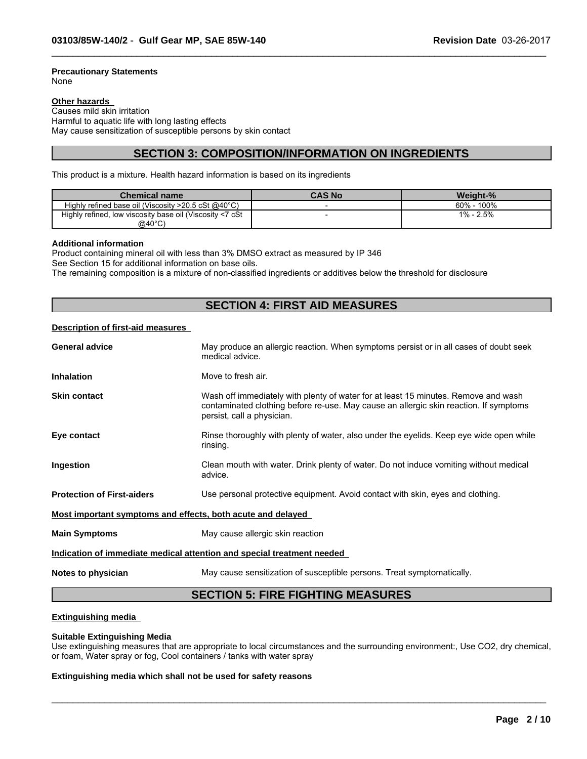#### **Precautionary Statements** None

#### **Other hazards**

Causes mild skin irritation Harmful to aquatic life with long lasting effects May cause sensitization of susceptible persons by skin contact

## **SECTION 3: COMPOSITION/INFORMATION ON INGREDIENTS**

 $\_$  ,  $\_$  ,  $\_$  ,  $\_$  ,  $\_$  ,  $\_$  ,  $\_$  ,  $\_$  ,  $\_$  ,  $\_$  ,  $\_$  ,  $\_$  ,  $\_$  ,  $\_$  ,  $\_$  ,  $\_$  ,  $\_$  ,  $\_$  ,  $\_$  ,  $\_$  ,  $\_$  ,  $\_$  ,  $\_$  ,  $\_$  ,  $\_$  ,  $\_$  ,  $\_$  ,  $\_$  ,  $\_$  ,  $\_$  ,  $\_$  ,  $\_$  ,  $\_$  ,  $\_$  ,  $\_$  ,  $\_$  ,  $\_$  ,

This product is a mixture. Health hazard information is based on its ingredients

| Chemical name                                                    | <b>CAS No</b> | Weight-%         |
|------------------------------------------------------------------|---------------|------------------|
| Highly refined base oil (Viscosity $>20.5$ cSt @40 $^{\circ}$ C) |               | 100%<br>$60\%$ - |
| I, low viscosity base oil (Viscosity <7 cSt<br>Highly refined,   |               | 1% - 2.5%        |
| $@40^{\circ}$ C)                                                 |               |                  |

#### **Additional information**

Product containing mineral oil with less than 3% DMSO extract as measured by IP 346 See Section 15 for additional information on base oils.

The remaining composition is a mixture of non-classified ingredients or additives below the threshold for disclosure

## **SECTION 4: FIRST AID MEASURES**

#### **Description of first-aid measures**

| <b>General advice</b>                                                  | May produce an allergic reaction. When symptoms persist or in all cases of doubt seek<br>medical advice.                                                                                                  |  |  |
|------------------------------------------------------------------------|-----------------------------------------------------------------------------------------------------------------------------------------------------------------------------------------------------------|--|--|
| <b>Inhalation</b>                                                      | Move to fresh air.                                                                                                                                                                                        |  |  |
| <b>Skin contact</b>                                                    | Wash off immediately with plenty of water for at least 15 minutes. Remove and wash<br>contaminated clothing before re-use. May cause an allergic skin reaction. If symptoms<br>persist, call a physician. |  |  |
| Eye contact                                                            | Rinse thoroughly with plenty of water, also under the eyelids. Keep eye wide open while<br>rinsing.                                                                                                       |  |  |
| Ingestion                                                              | Clean mouth with water. Drink plenty of water. Do not induce vomiting without medical<br>advice.                                                                                                          |  |  |
| <b>Protection of First-aiders</b>                                      | Use personal protective equipment. Avoid contact with skin, eyes and clothing.                                                                                                                            |  |  |
| Most important symptoms and effects, both acute and delayed            |                                                                                                                                                                                                           |  |  |
| <b>Main Symptoms</b>                                                   | May cause allergic skin reaction                                                                                                                                                                          |  |  |
| Indication of immediate medical attention and special treatment needed |                                                                                                                                                                                                           |  |  |
| Notes to physician                                                     | May cause sensitization of susceptible persons. Treat symptomatically.                                                                                                                                    |  |  |
|                                                                        |                                                                                                                                                                                                           |  |  |

## **SECTION 5: FIRE FIGHTING MEASURES**

#### **Extinguishing media**

#### **Suitable Extinguishing Media**

Use extinguishing measures that are appropriate to local circumstances and the surrounding environment:, Use CO2, dry chemical, or foam, Water spray or fog, Cool containers / tanks with water spray

 $\_$  ,  $\_$  ,  $\_$  ,  $\_$  ,  $\_$  ,  $\_$  ,  $\_$  ,  $\_$  ,  $\_$  ,  $\_$  ,  $\_$  ,  $\_$  ,  $\_$  ,  $\_$  ,  $\_$  ,  $\_$  ,  $\_$  ,  $\_$  ,  $\_$  ,  $\_$  ,  $\_$  ,  $\_$  ,  $\_$  ,  $\_$  ,  $\_$  ,  $\_$  ,  $\_$  ,  $\_$  ,  $\_$  ,  $\_$  ,  $\_$  ,  $\_$  ,  $\_$  ,  $\_$  ,  $\_$  ,  $\_$  ,  $\_$  ,

#### **Extinguishing media which shall not be used for safety reasons**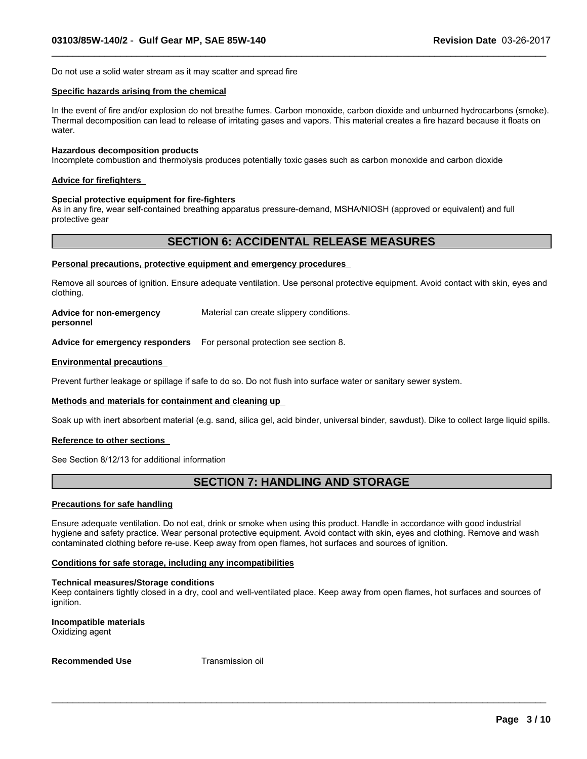Do not use a solid water stream as it may scatter and spread fire

#### **Specific hazards arising from the chemical**

In the event of fire and/or explosion do not breathe fumes. Carbon monoxide, carbon dioxide and unburned hydrocarbons (smoke). Thermal decomposition can lead to release of irritating gases and vapors. This material creates a fire hazard because it floats on water.

 $\_$  ,  $\_$  ,  $\_$  ,  $\_$  ,  $\_$  ,  $\_$  ,  $\_$  ,  $\_$  ,  $\_$  ,  $\_$  ,  $\_$  ,  $\_$  ,  $\_$  ,  $\_$  ,  $\_$  ,  $\_$  ,  $\_$  ,  $\_$  ,  $\_$  ,  $\_$  ,  $\_$  ,  $\_$  ,  $\_$  ,  $\_$  ,  $\_$  ,  $\_$  ,  $\_$  ,  $\_$  ,  $\_$  ,  $\_$  ,  $\_$  ,  $\_$  ,  $\_$  ,  $\_$  ,  $\_$  ,  $\_$  ,  $\_$  ,

#### **Hazardous decomposition products**

Incomplete combustion and thermolysis produces potentially toxic gases such as carbon monoxide and carbon dioxide

#### **Advice for firefighters**

#### **Special protective equipment for fire-fighters**

As in any fire, wear self-contained breathing apparatus pressure-demand, MSHA/NIOSH (approved or equivalent) and full protective gear

### **SECTION 6: ACCIDENTAL RELEASE MEASURES**

#### **Personal precautions, protective equipment and emergency procedures**

Remove all sources of ignition. Ensure adequate ventilation. Use personal protective equipment. Avoid contact with skin, eyes and clothing.

**Advice for non-emergency personnel** Material can create slippery conditions.

**Advice for emergency responders** For personal protection see section 8.

#### **Environmental precautions**

Prevent further leakage or spillage if safe to do so. Do not flush into surface water or sanitary sewer system.

#### **Methods and materials for containment and cleaning up**

Soak up with inert absorbent material (e.g. sand, silica gel, acid binder, universal binder, sawdust). Dike to collect large liquid spills.

#### **Reference to other sections**

See Section 8/12/13 for additional information

## **SECTION 7: HANDLING AND STORAGE**

#### **Precautions for safe handling**

Ensure adequate ventilation. Do not eat, drink or smoke when using this product. Handle in accordance with good industrial hygiene and safety practice. Wear personal protective equipment. Avoid contact with skin, eyes and clothing. Remove and wash contaminated clothing before re-use. Keep away from open flames, hot surfaces and sources of ignition.

#### **Conditions for safe storage, including any incompatibilities**

#### **Technical measures/Storage conditions**

Keep containers tightly closed in a dry, cool and well-ventilated place. Keep away from open flames, hot surfaces and sources of ignition.

 $\_$  ,  $\_$  ,  $\_$  ,  $\_$  ,  $\_$  ,  $\_$  ,  $\_$  ,  $\_$  ,  $\_$  ,  $\_$  ,  $\_$  ,  $\_$  ,  $\_$  ,  $\_$  ,  $\_$  ,  $\_$  ,  $\_$  ,  $\_$  ,  $\_$  ,  $\_$  ,  $\_$  ,  $\_$  ,  $\_$  ,  $\_$  ,  $\_$  ,  $\_$  ,  $\_$  ,  $\_$  ,  $\_$  ,  $\_$  ,  $\_$  ,  $\_$  ,  $\_$  ,  $\_$  ,  $\_$  ,  $\_$  ,  $\_$  ,

**Incompatible materials** Oxidizing agent

**Recommended Use** Transmission oil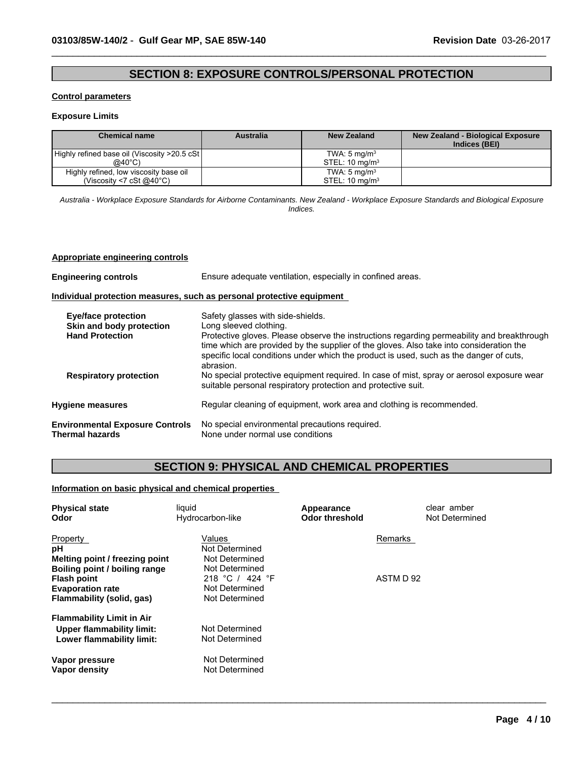## **SECTION 8: EXPOSURE CONTROLS/PERSONAL PROTECTION**

 $\_$  ,  $\_$  ,  $\_$  ,  $\_$  ,  $\_$  ,  $\_$  ,  $\_$  ,  $\_$  ,  $\_$  ,  $\_$  ,  $\_$  ,  $\_$  ,  $\_$  ,  $\_$  ,  $\_$  ,  $\_$  ,  $\_$  ,  $\_$  ,  $\_$  ,  $\_$  ,  $\_$  ,  $\_$  ,  $\_$  ,  $\_$  ,  $\_$  ,  $\_$  ,  $\_$  ,  $\_$  ,  $\_$  ,  $\_$  ,  $\_$  ,  $\_$  ,  $\_$  ,  $\_$  ,  $\_$  ,  $\_$  ,  $\_$  ,

#### **Control parameters**

#### **Exposure Limits**

| <b>Chemical name</b>                          | <b>Australia</b> | New Zealand                  | <b>New Zealand - Biological Exposure</b><br>Indices (BEI) |
|-----------------------------------------------|------------------|------------------------------|-----------------------------------------------------------|
| Highly refined base oil (Viscosity >20.5 cSt) |                  | TWA: $5 \text{ mg/m}^3$      |                                                           |
| $@40^{\circ}$ C)                              |                  | $STEL: 10$ ma/m <sup>3</sup> |                                                           |
| Highly refined, low viscosity base oil        |                  | TWA: $5 \text{ mg/m}^3$      |                                                           |
| (Viscosity <7 cSt $@40^{\circ}$ C)            |                  | STEL: $10 \text{ mg/m}^3$    |                                                           |

*Australia - Workplace Exposure Standards for Airborne Contaminants. New Zealand - Workplace Exposure Standards and Biological Exposure Indices.*

#### **Appropriate engineering controls**

| <b>Engineering controls</b>                                                      | Ensure adequate ventilation, especially in confined areas.                                                                                                                                                                                                                                                                                                  |
|----------------------------------------------------------------------------------|-------------------------------------------------------------------------------------------------------------------------------------------------------------------------------------------------------------------------------------------------------------------------------------------------------------------------------------------------------------|
|                                                                                  | Individual protection measures, such as personal protective equipment                                                                                                                                                                                                                                                                                       |
| <b>Eye/face protection</b><br>Skin and body protection<br><b>Hand Protection</b> | Safety glasses with side-shields.<br>Long sleeved clothing.<br>Protective gloves. Please observe the instructions regarding permeability and breakthrough<br>time which are provided by the supplier of the gloves. Also take into consideration the<br>specific local conditions under which the product is used, such as the danger of cuts,<br>abrasion. |
| <b>Respiratory protection</b>                                                    | No special protective equipment required. In case of mist, spray or aerosol exposure wear<br>suitable personal respiratory protection and protective suit.                                                                                                                                                                                                  |
| <b>Hygiene measures</b>                                                          | Regular cleaning of equipment, work area and clothing is recommended.                                                                                                                                                                                                                                                                                       |
| <b>Environmental Exposure Controls</b><br><b>Thermal hazards</b>                 | No special environmental precautions required.<br>None under normal use conditions                                                                                                                                                                                                                                                                          |

## **SECTION 9: PHYSICAL AND CHEMICAL PROPERTIES**

**Information on basic physical and chemical properties** 

| <b>Physical state</b>            | liquid           | Appearance     | clear amber    |
|----------------------------------|------------------|----------------|----------------|
| Odor                             | Hydrocarbon-like | Odor threshold | Not Determined |
|                                  |                  |                |                |
| Property                         | Values           | Remarks        |                |
| рH                               | Not Determined   |                |                |
| Melting point / freezing point   | Not Determined   |                |                |
| Boiling point / boiling range    | Not Determined   |                |                |
| <b>Flash point</b>               | 218 °C / 424 °F  | ASTM D 92      |                |
| <b>Evaporation rate</b>          | Not Determined   |                |                |
| Flammability (solid, gas)        | Not Determined   |                |                |
|                                  |                  |                |                |
| <b>Flammability Limit in Air</b> |                  |                |                |
| Upper flammability limit:        | Not Determined   |                |                |
| Lower flammability limit:        | Not Determined   |                |                |
|                                  |                  |                |                |
| Vapor pressure                   | Not Determined   |                |                |
| Vapor density                    | Not Determined   |                |                |
|                                  |                  |                |                |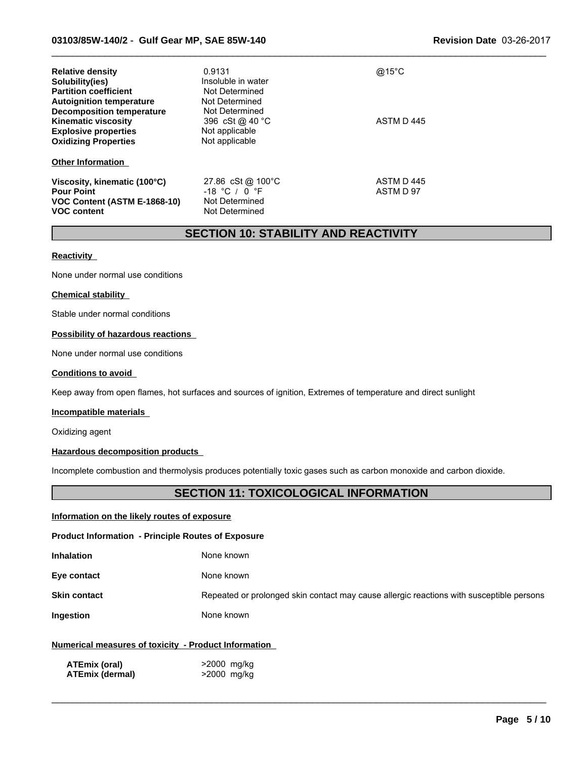| <b>Relative density</b><br>Solubility(ies)<br><b>Partition coefficient</b><br><b>Autoignition temperature</b><br>Decomposition temperature<br><b>Kinematic viscosity</b><br><b>Explosive properties</b><br><b>Oxidizing Properties</b> | 0.9131<br>Insoluble in water<br>Not Determined<br>Not Determined<br>Not Determined<br>396 cSt @ 40 °C<br>Not applicable<br>Not applicable | @15 $^{\circ}$ C<br>ASTM D445 |
|----------------------------------------------------------------------------------------------------------------------------------------------------------------------------------------------------------------------------------------|-------------------------------------------------------------------------------------------------------------------------------------------|-------------------------------|
| <b>Other Information</b>                                                                                                                                                                                                               |                                                                                                                                           |                               |
| Viscosity, kinematic (100°C)<br><b>Pour Point</b><br>VOC Content (ASTM E-1868-10)<br><b>VOC content</b>                                                                                                                                | 27.86 cSt @ 100 °C<br>$-18$ °C / 0 °F<br>Not Determined<br>Not Determined                                                                 | ASTM D445<br>ASTM D 97        |

## **SECTION 10: STABILITY AND REACTIVITY**

 $\_$  ,  $\_$  ,  $\_$  ,  $\_$  ,  $\_$  ,  $\_$  ,  $\_$  ,  $\_$  ,  $\_$  ,  $\_$  ,  $\_$  ,  $\_$  ,  $\_$  ,  $\_$  ,  $\_$  ,  $\_$  ,  $\_$  ,  $\_$  ,  $\_$  ,  $\_$  ,  $\_$  ,  $\_$  ,  $\_$  ,  $\_$  ,  $\_$  ,  $\_$  ,  $\_$  ,  $\_$  ,  $\_$  ,  $\_$  ,  $\_$  ,  $\_$  ,  $\_$  ,  $\_$  ,  $\_$  ,  $\_$  ,  $\_$  ,

#### **Reactivity**

None under normal use conditions

#### **Chemical stability**

Stable under normal conditions

### **Possibility of hazardous reactions**

None under normal use conditions

#### **Conditions to avoid**

Keep away from open flames, hot surfaces and sources of ignition, Extremes of temperature and direct sunlight

#### **Incompatible materials**

Oxidizing agent

#### **Hazardous decomposition products**

Incomplete combustion and thermolysis produces potentially toxic gases such as carbon monoxide and carbon dioxide.

## **SECTION 11: TOXICOLOGICAL INFORMATION**

#### **Information on the likely routes of exposure**

**Product Information - Principle Routes of Exposure**

**Inhalation** None known

**Eye contact** None known

**Skin contact** Repeated or prolonged skin contact may cause allergic reactions with susceptible persons

 $\_$  ,  $\_$  ,  $\_$  ,  $\_$  ,  $\_$  ,  $\_$  ,  $\_$  ,  $\_$  ,  $\_$  ,  $\_$  ,  $\_$  ,  $\_$  ,  $\_$  ,  $\_$  ,  $\_$  ,  $\_$  ,  $\_$  ,  $\_$  ,  $\_$  ,  $\_$  ,  $\_$  ,  $\_$  ,  $\_$  ,  $\_$  ,  $\_$  ,  $\_$  ,  $\_$  ,  $\_$  ,  $\_$  ,  $\_$  ,  $\_$  ,  $\_$  ,  $\_$  ,  $\_$  ,  $\_$  ,  $\_$  ,  $\_$  ,

**Ingestion** None known

### **Numerical measures of toxicity - Product Information**

| ATEmix (oral)   | >2000 mg/kg |  |
|-----------------|-------------|--|
| ATEmix (dermal) | >2000 mg/kg |  |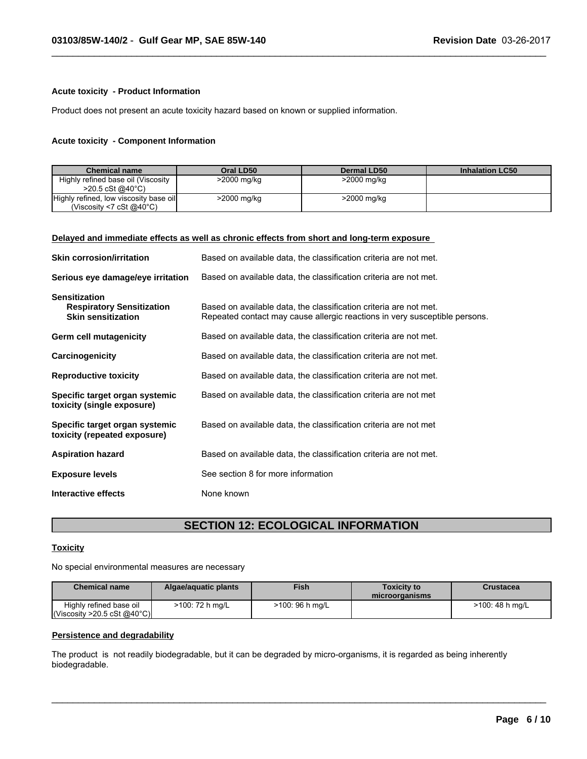#### **Acute toxicity - Product Information**

Product does not present an acute toxicity hazard based on known or supplied information.

#### **Acute toxicity - Component Information**

| <b>Chemical name</b>                   | Oral LD50   | Dermal LD50 | <b>Inhalation LC50</b> |
|----------------------------------------|-------------|-------------|------------------------|
| Highly refined base oil (Viscosity     | >2000 mg/kg | >2000 mg/kg |                        |
| $>$ 20.5 cSt @40°C)                    |             |             |                        |
| Highly refined, low viscosity base oil | >2000 mg/kg | >2000 mg/kg |                        |
| (Viscosity <7 cSt $@40^{\circ}$ C)     |             |             |                        |

 $\_$  ,  $\_$  ,  $\_$  ,  $\_$  ,  $\_$  ,  $\_$  ,  $\_$  ,  $\_$  ,  $\_$  ,  $\_$  ,  $\_$  ,  $\_$  ,  $\_$  ,  $\_$  ,  $\_$  ,  $\_$  ,  $\_$  ,  $\_$  ,  $\_$  ,  $\_$  ,  $\_$  ,  $\_$  ,  $\_$  ,  $\_$  ,  $\_$  ,  $\_$  ,  $\_$  ,  $\_$  ,  $\_$  ,  $\_$  ,  $\_$  ,  $\_$  ,  $\_$  ,  $\_$  ,  $\_$  ,  $\_$  ,  $\_$  ,

#### **Delayed and immediate effects as well as chronic effects from short and long-term exposure**

| <b>Skin corrosion/irritation</b>                                                      | Based on available data, the classification criteria are not met.                                                                               |
|---------------------------------------------------------------------------------------|-------------------------------------------------------------------------------------------------------------------------------------------------|
| Serious eye damage/eye irritation                                                     | Based on available data, the classification criteria are not met.                                                                               |
| <b>Sensitization</b><br><b>Respiratory Sensitization</b><br><b>Skin sensitization</b> | Based on available data, the classification criteria are not met.<br>Repeated contact may cause allergic reactions in very susceptible persons. |
| Germ cell mutagenicity                                                                | Based on available data, the classification criteria are not met.                                                                               |
| Carcinogenicity                                                                       | Based on available data, the classification criteria are not met.                                                                               |
| <b>Reproductive toxicity</b>                                                          | Based on available data, the classification criteria are not met.                                                                               |
| Specific target organ systemic<br>toxicity (single exposure)                          | Based on available data, the classification criteria are not met                                                                                |
| Specific target organ systemic<br>toxicity (repeated exposure)                        | Based on available data, the classification criteria are not met                                                                                |
| <b>Aspiration hazard</b>                                                              | Based on available data, the classification criteria are not met.                                                                               |
| <b>Exposure levels</b>                                                                | See section 8 for more information                                                                                                              |
| Interactive effects                                                                   | None known                                                                                                                                      |

## **SECTION 12: ECOLOGICAL INFORMATION**

#### **Toxicity**

No special environmental measures are necessary

| <b>Chemical name</b>                        | Algae/aguatic plants | <b>Fish</b>     | Toxicitv to<br>microorganisms | Crustacea       |
|---------------------------------------------|----------------------|-----------------|-------------------------------|-----------------|
| Highly refined base oil                     | >100: 72 h mg/L      | >100: 96 h mg/L |                               | >100: 48 h mg/L |
| $\vert$ (Viscosity >20.5 cSt @40°C) $\vert$ |                      |                 |                               |                 |

 $\_$  ,  $\_$  ,  $\_$  ,  $\_$  ,  $\_$  ,  $\_$  ,  $\_$  ,  $\_$  ,  $\_$  ,  $\_$  ,  $\_$  ,  $\_$  ,  $\_$  ,  $\_$  ,  $\_$  ,  $\_$  ,  $\_$  ,  $\_$  ,  $\_$  ,  $\_$  ,  $\_$  ,  $\_$  ,  $\_$  ,  $\_$  ,  $\_$  ,  $\_$  ,  $\_$  ,  $\_$  ,  $\_$  ,  $\_$  ,  $\_$  ,  $\_$  ,  $\_$  ,  $\_$  ,  $\_$  ,  $\_$  ,  $\_$  ,

#### **Persistence and degradability**

The product is not readily biodegradable, but it can be degraded by micro-organisms, it is regarded as being inherently biodegradable.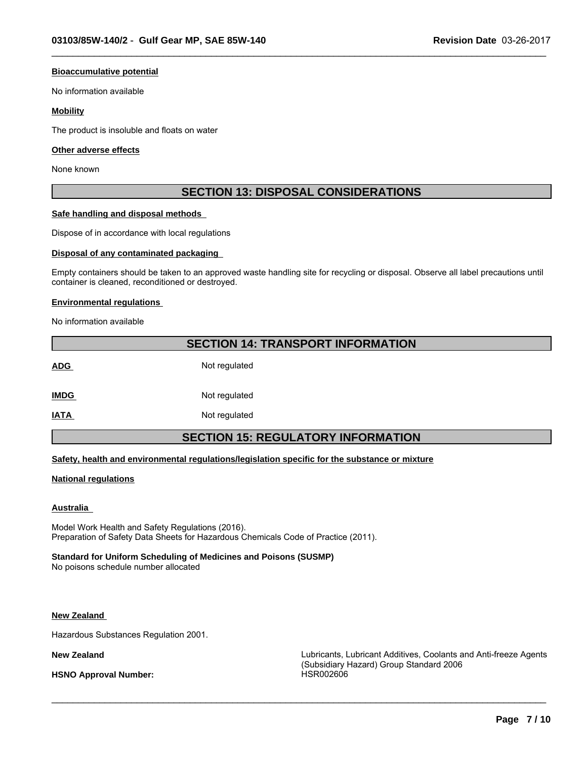#### **Bioaccumulative potential**

No information available

#### **Mobility**

The product is insoluble and floats on water

#### **Other adverse effects**

None known

## **SECTION 13: DISPOSAL CONSIDERATIONS**

 $\_$  ,  $\_$  ,  $\_$  ,  $\_$  ,  $\_$  ,  $\_$  ,  $\_$  ,  $\_$  ,  $\_$  ,  $\_$  ,  $\_$  ,  $\_$  ,  $\_$  ,  $\_$  ,  $\_$  ,  $\_$  ,  $\_$  ,  $\_$  ,  $\_$  ,  $\_$  ,  $\_$  ,  $\_$  ,  $\_$  ,  $\_$  ,  $\_$  ,  $\_$  ,  $\_$  ,  $\_$  ,  $\_$  ,  $\_$  ,  $\_$  ,  $\_$  ,  $\_$  ,  $\_$  ,  $\_$  ,  $\_$  ,  $\_$  ,

#### **Safe handling and disposal methods**

Dispose of in accordance with local regulations

#### **Disposal of any contaminated packaging**

Empty containers should be taken to an approved waste handling site for recycling or disposal. Observe all label precautions until container is cleaned, reconditioned or destroyed.

#### **Environmental regulations**

No information available

# **SECTION 14: TRANSPORT INFORMATION** ADG Not regulated **IMDG** Not regulated **IATA** Not regulated **SECTION 15: REGULATORY INFORMATION**

#### **Safety, health and environmental regulations/legislation specific for the substance or mixture**

#### **National regulations**

#### **Australia**

Model Work Health and Safety Regulations (2016). Preparation of Safety Data Sheets for Hazardous Chemicals Code of Practice (2011).

#### **Standard for Uniform Scheduling of Medicines and Poisons (SUSMP)**

No poisons schedule number allocated

#### **New Zealand**

Hazardous Substances Regulation 2001.

**HSNO Approval Number:** 

**New Zealand** Lubricants, Lubricant Additives, Coolants and Anti-freeze Agents (Subsidiary Hazard) Group Standard 2006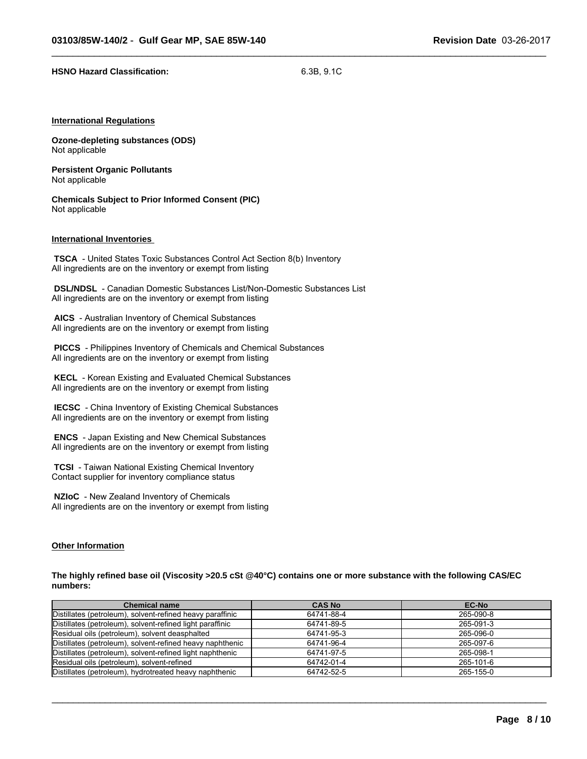#### **HSNO Hazard Classification:** 6.3B, 9.1C

 $\_$  ,  $\_$  ,  $\_$  ,  $\_$  ,  $\_$  ,  $\_$  ,  $\_$  ,  $\_$  ,  $\_$  ,  $\_$  ,  $\_$  ,  $\_$  ,  $\_$  ,  $\_$  ,  $\_$  ,  $\_$  ,  $\_$  ,  $\_$  ,  $\_$  ,  $\_$  ,  $\_$  ,  $\_$  ,  $\_$  ,  $\_$  ,  $\_$  ,  $\_$  ,  $\_$  ,  $\_$  ,  $\_$  ,  $\_$  ,  $\_$  ,  $\_$  ,  $\_$  ,  $\_$  ,  $\_$  ,  $\_$  ,  $\_$  ,

#### **International Regulations**

**Ozone-depleting substances (ODS)** Not applicable

**Persistent Organic Pollutants** Not applicable

**Chemicals Subject to Prior Informed Consent (PIC)** Not applicable

#### **International Inventories**

 **TSCA** - United States Toxic Substances Control Act Section 8(b) Inventory All ingredients are on the inventory or exempt from listing

 **DSL/NDSL** - Canadian Domestic Substances List/Non-Domestic Substances List All ingredients are on the inventory or exempt from listing

 **AICS** - Australian Inventory of Chemical Substances All ingredients are on the inventory or exempt from listing

 **PICCS** - Philippines Inventory of Chemicals and Chemical Substances All ingredients are on the inventory or exempt from listing

 **KECL** - Korean Existing and Evaluated Chemical Substances All ingredients are on the inventory or exempt from listing

 **IECSC** - China Inventory of Existing Chemical Substances All ingredients are on the inventory or exempt from listing

 **ENCS** - Japan Existing and New Chemical Substances All ingredients are on the inventory or exempt from listing

 **TCSI** - Taiwan National Existing Chemical Inventory Contact supplier for inventory compliance status

 **NZIoC** - New Zealand Inventory of Chemicals All ingredients are on the inventory or exempt from listing

#### **Other Information**

**The highly refined base oil (Viscosity >20.5 cSt @40°C) contains one or more substance with the following CAS/EC numbers:**

| <b>Chemical name</b>                                      | <b>CAS No</b> | <b>EC-No</b> |
|-----------------------------------------------------------|---------------|--------------|
| Distillates (petroleum), solvent-refined heavy paraffinic | 64741-88-4    | 265-090-8    |
| Distillates (petroleum), solvent-refined light paraffinic | 64741-89-5    | 265-091-3    |
| Residual oils (petroleum), solvent deasphalted            | 64741-95-3    | 265-096-0    |
| Distillates (petroleum), solvent-refined heavy naphthenic | 64741-96-4    | 265-097-6    |
| Distillates (petroleum), solvent-refined light naphthenic | 64741-97-5    | 265-098-1    |
| Residual oils (petroleum), solvent-refined                | 64742-01-4    | 265-101-6    |
| Distillates (petroleum), hydrotreated heavy naphthenic    | 64742-52-5    | 265-155-0    |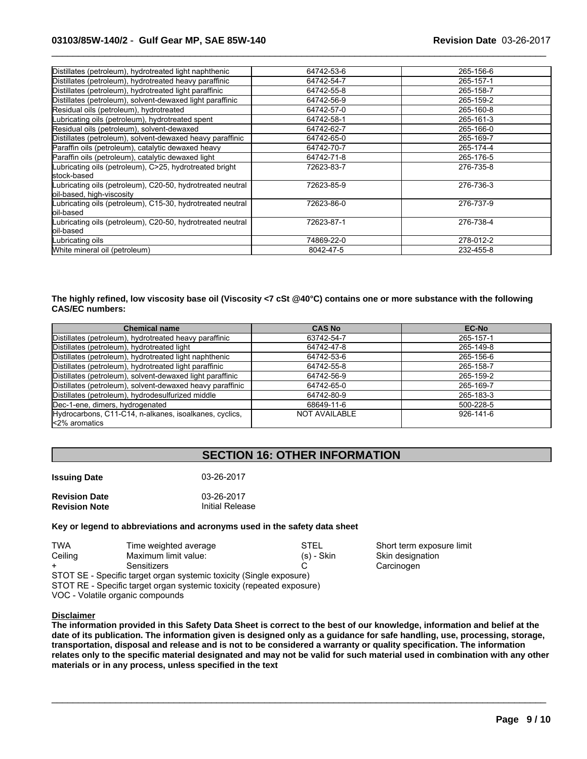| Distillates (petroleum), hydrotreated light naphthenic     | 64742-53-6 | 265-156-6 |
|------------------------------------------------------------|------------|-----------|
| Distillates (petroleum), hydrotreated heavy paraffinic     | 64742-54-7 | 265-157-1 |
| Distillates (petroleum), hydrotreated light paraffinic     | 64742-55-8 | 265-158-7 |
| Distillates (petroleum), solvent-dewaxed light paraffinic  | 64742-56-9 | 265-159-2 |
| Residual oils (petroleum), hydrotreated                    | 64742-57-0 | 265-160-8 |
| Lubricating oils (petroleum), hydrotreated spent           | 64742-58-1 | 265-161-3 |
| Residual oils (petroleum), solvent-dewaxed                 | 64742-62-7 | 265-166-0 |
| Distillates (petroleum), solvent-dewaxed heavy paraffinic  | 64742-65-0 | 265-169-7 |
| Paraffin oils (petroleum), catalytic dewaxed heavy         | 64742-70-7 | 265-174-4 |
| Paraffin oils (petroleum), catalytic dewaxed light         | 64742-71-8 | 265-176-5 |
| Lubricating oils (petroleum), C>25, hydrotreated bright    | 72623-83-7 | 276-735-8 |
| lstock-based                                               |            |           |
| Lubricating oils (petroleum), C20-50, hydrotreated neutral | 72623-85-9 | 276-736-3 |
| oil-based, high-viscosity                                  |            |           |
| Lubricating oils (petroleum), C15-30, hydrotreated neutral | 72623-86-0 | 276-737-9 |
| loil-based                                                 |            |           |
| Lubricating oils (petroleum), C20-50, hydrotreated neutral | 72623-87-1 | 276-738-4 |
| loil-based                                                 |            |           |
| Lubricating oils                                           | 74869-22-0 | 278-012-2 |
| (White mineral oil (petroleum)                             | 8042-47-5  | 232-455-8 |
|                                                            |            |           |

 $\_$  ,  $\_$  ,  $\_$  ,  $\_$  ,  $\_$  ,  $\_$  ,  $\_$  ,  $\_$  ,  $\_$  ,  $\_$  ,  $\_$  ,  $\_$  ,  $\_$  ,  $\_$  ,  $\_$  ,  $\_$  ,  $\_$  ,  $\_$  ,  $\_$  ,  $\_$  ,  $\_$  ,  $\_$  ,  $\_$  ,  $\_$  ,  $\_$  ,  $\_$  ,  $\_$  ,  $\_$  ,  $\_$  ,  $\_$  ,  $\_$  ,  $\_$  ,  $\_$  ,  $\_$  ,  $\_$  ,  $\_$  ,  $\_$  ,

#### **The highly refined, low viscosity base oil (Viscosity <7 cSt @40°C) contains one or more substance with the following CAS/EC numbers:**

| <b>Chemical name</b>                                                    | <b>CAS No</b> | EC-No           |
|-------------------------------------------------------------------------|---------------|-----------------|
| Distillates (petroleum), hydrotreated heavy paraffinic                  | 63742-54-7    | 265-157-1       |
| Distillates (petroleum), hydrotreated light                             | 64742-47-8    | 265-149-8       |
| Distillates (petroleum), hydrotreated light naphthenic                  | 64742-53-6    | 265-156-6       |
| Distillates (petroleum), hydrotreated light paraffinic                  | 64742-55-8    | 265-158-7       |
| Distillates (petroleum), solvent-dewaxed light paraffinic               | 64742-56-9    | 265-159-2       |
| Distillates (petroleum), solvent-dewaxed heavy paraffinic               | 64742-65-0    | 265-169-7       |
| Distillates (petroleum), hydrodesulfurized middle                       | 64742-80-9    | 265-183-3       |
| Dec-1-ene, dimers, hydrogenated                                         | 68649-11-6    | 500-228-5       |
| Hydrocarbons, C11-C14, n-alkanes, isoalkanes, cyclics,<br>k2% aromatics | NOT AVAILABLE | $926 - 141 - 6$ |

## **SECTION 16: OTHER INFORMATION**

| <b>Issuing Date</b>  | 03-26-2017      |  |  |
|----------------------|-----------------|--|--|
| <b>Revision Date</b> | 03-26-2017      |  |  |
| <b>Revision Note</b> | Initial Release |  |  |

#### **Key or legend to abbreviations and acronyms used in the safety data sheet**

| <b>TWA</b> | Time weighted average                                               | STEL         | Short term exposure limit |
|------------|---------------------------------------------------------------------|--------------|---------------------------|
| Ceiling    | Maximum limit value:                                                | $(s)$ - Skin | Skin designation          |
|            | Sensitizers                                                         |              | Carcinogen                |
|            | STOT SE - Specific target organ systemic toxicity (Single exposure) |              |                           |

STOT SE - Specific target organ systemic toxicity (Single exposure)

STOT RE - Specific target organ systemic toxicity (repeated exposure)

VOC - Volatile organic compounds

#### **Disclaimer**

**The information provided in this Safety Data Sheet is correct to the best of our knowledge, information and belief at the date of its publication. The information given is designed only as a guidance for safe handling, use, processing, storage, transportation, disposal and release and is not to be considered a warranty or quality specification. The information relates only to the specific material designated and may not be valid for such material used in combination with any other materials or in any process, unless specified in the text**